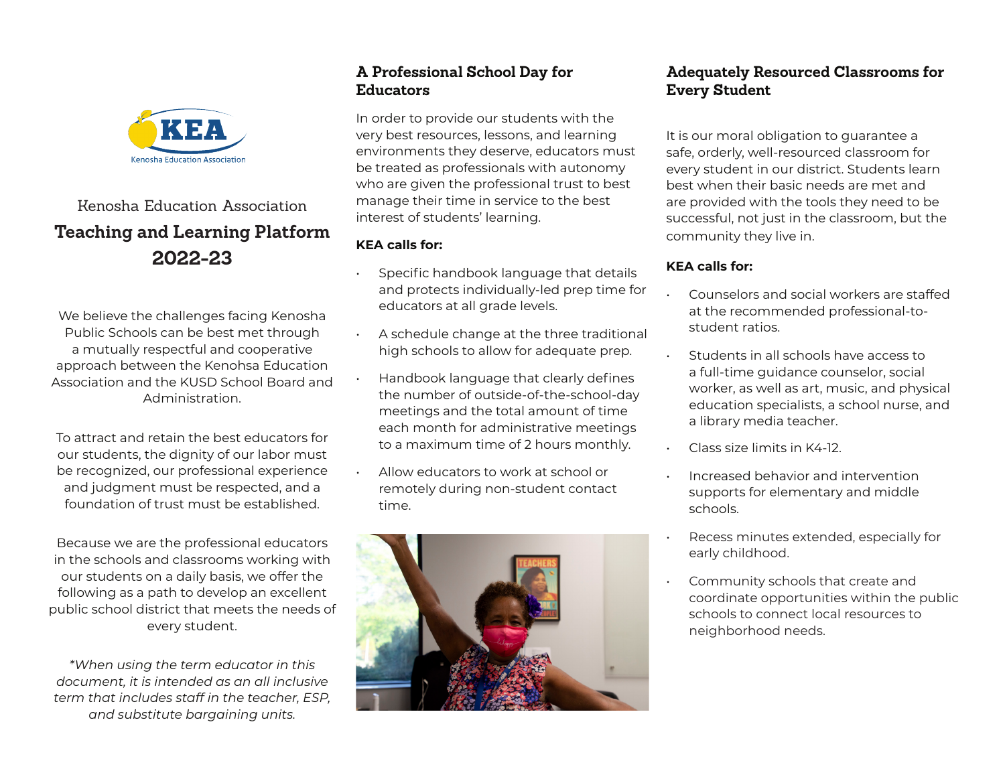

# Kenosha Education Association **Teaching and Learning Platform 2022-23**

We believe the challenges facing Kenosha Public Schools can be best met through a mutually respectful and cooperative approach between the Kenohsa Education Association and the KUSD School Board and Administration.

To attract and retain the best educators for our students, the dignity of our labor must be recognized, our professional experience and judgment must be respected, and a foundation of trust must be established.

Because we are the professional educators in the schools and classrooms working with our students on a daily basis, we offer the following as a path to develop an excellent public school district that meets the needs of every student.

*\*When using the term educator in this document, it is intended as an all inclusive term that includes staff in the teacher, ESP, and substitute bargaining units.* 

## **A Professional School Day for Educators**

In order to provide our students with the very best resources, lessons, and learning environments they deserve, educators must be treated as professionals with autonomy who are given the professional trust to best manage their time in service to the best interest of students' learning.

#### **KEA calls for:**

- Specific handbook language that details and protects individually-led prep time for educators at all grade levels.
- A schedule change at the three traditional high schools to allow for adequate prep.
- Handbook language that clearly defines the number of outside-of-the-school-day meetings and the total amount of time each month for administrative meetings to a maximum time of 2 hours monthly.
- Allow educators to work at school or remotely during non-student contact time.



## **Adequately Resourced Classrooms for Every Student**

It is our moral obligation to guarantee a safe, orderly, well-resourced classroom for every student in our district. Students learn best when their basic needs are met and are provided with the tools they need to be successful, not just in the classroom, but the community they live in.

#### **KEA calls for:**

- Counselors and social workers are staffed at the recommended professional-tostudent ratios.
- Students in all schools have access to a full-time guidance counselor, social worker, as well as art, music, and physical education specialists, a school nurse, and a library media teacher.
- Class size limits in K4-12.
- Increased behavior and intervention supports for elementary and middle schools.
- Recess minutes extended, especially for early childhood.
- Community schools that create and coordinate opportunities within the public schools to connect local resources to neighborhood needs.